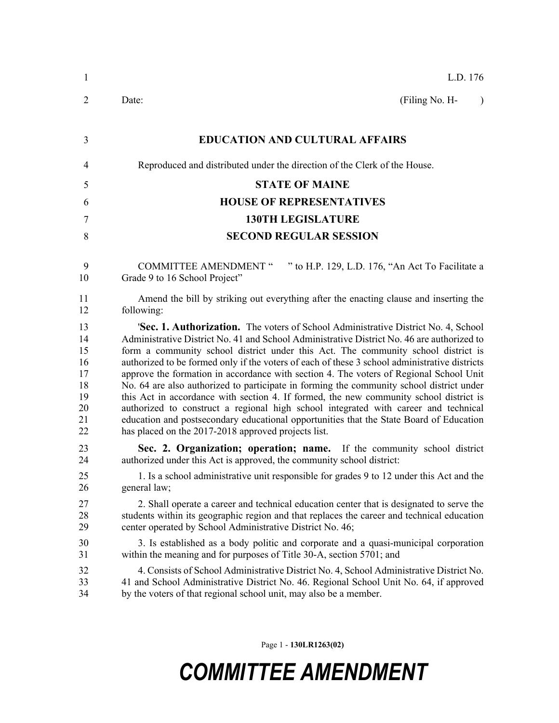| $\mathbf{1}$                                             | L.D. 176                                                                                                                                                                                                                                                                                                                                                                                                                                                                                                                                                                                                                                                                                                                                                                                                                                                                                               |
|----------------------------------------------------------|--------------------------------------------------------------------------------------------------------------------------------------------------------------------------------------------------------------------------------------------------------------------------------------------------------------------------------------------------------------------------------------------------------------------------------------------------------------------------------------------------------------------------------------------------------------------------------------------------------------------------------------------------------------------------------------------------------------------------------------------------------------------------------------------------------------------------------------------------------------------------------------------------------|
| 2                                                        | Date:<br>(Filing No. H-<br>$\lambda$                                                                                                                                                                                                                                                                                                                                                                                                                                                                                                                                                                                                                                                                                                                                                                                                                                                                   |
| 3                                                        | <b>EDUCATION AND CULTURAL AFFAIRS</b>                                                                                                                                                                                                                                                                                                                                                                                                                                                                                                                                                                                                                                                                                                                                                                                                                                                                  |
| $\overline{4}$                                           | Reproduced and distributed under the direction of the Clerk of the House.                                                                                                                                                                                                                                                                                                                                                                                                                                                                                                                                                                                                                                                                                                                                                                                                                              |
| 5                                                        | <b>STATE OF MAINE</b>                                                                                                                                                                                                                                                                                                                                                                                                                                                                                                                                                                                                                                                                                                                                                                                                                                                                                  |
| 6                                                        | <b>HOUSE OF REPRESENTATIVES</b>                                                                                                                                                                                                                                                                                                                                                                                                                                                                                                                                                                                                                                                                                                                                                                                                                                                                        |
| 7                                                        | <b>130TH LEGISLATURE</b>                                                                                                                                                                                                                                                                                                                                                                                                                                                                                                                                                                                                                                                                                                                                                                                                                                                                               |
| 8                                                        | <b>SECOND REGULAR SESSION</b>                                                                                                                                                                                                                                                                                                                                                                                                                                                                                                                                                                                                                                                                                                                                                                                                                                                                          |
| 9<br>10                                                  | " to H.P. 129, L.D. 176, "An Act To Facilitate a<br><b>COMMITTEE AMENDMENT "</b><br>Grade 9 to 16 School Project"                                                                                                                                                                                                                                                                                                                                                                                                                                                                                                                                                                                                                                                                                                                                                                                      |
| 11<br>12                                                 | Amend the bill by striking out everything after the enacting clause and inserting the<br>following:                                                                                                                                                                                                                                                                                                                                                                                                                                                                                                                                                                                                                                                                                                                                                                                                    |
| 13<br>14<br>15<br>16<br>17<br>18<br>19<br>20<br>21<br>22 | <b>'Sec. 1. Authorization.</b> The voters of School Administrative District No. 4, School<br>Administrative District No. 41 and School Administrative District No. 46 are authorized to<br>form a community school district under this Act. The community school district is<br>authorized to be formed only if the voters of each of these 3 school administrative districts<br>approve the formation in accordance with section 4. The voters of Regional School Unit<br>No. 64 are also authorized to participate in forming the community school district under<br>this Act in accordance with section 4. If formed, the new community school district is<br>authorized to construct a regional high school integrated with career and technical<br>education and postsecondary educational opportunities that the State Board of Education<br>has placed on the 2017-2018 approved projects list. |
| 23<br>24                                                 | Sec. 2. Organization; operation; name. If the community school district<br>authorized under this Act is approved, the community school district:                                                                                                                                                                                                                                                                                                                                                                                                                                                                                                                                                                                                                                                                                                                                                       |
| 25<br>26                                                 | 1. Is a school administrative unit responsible for grades 9 to 12 under this Act and the<br>general law;                                                                                                                                                                                                                                                                                                                                                                                                                                                                                                                                                                                                                                                                                                                                                                                               |
| 27<br>28<br>29                                           | 2. Shall operate a career and technical education center that is designated to serve the<br>students within its geographic region and that replaces the career and technical education<br>center operated by School Administrative District No. 46;                                                                                                                                                                                                                                                                                                                                                                                                                                                                                                                                                                                                                                                    |
| 30<br>31                                                 | 3. Is established as a body politic and corporate and a quasi-municipal corporation<br>within the meaning and for purposes of Title 30-A, section 5701; and                                                                                                                                                                                                                                                                                                                                                                                                                                                                                                                                                                                                                                                                                                                                            |
| 32<br>33<br>34                                           | 4. Consists of School Administrative District No. 4, School Administrative District No.<br>41 and School Administrative District No. 46. Regional School Unit No. 64, if approved<br>by the voters of that regional school unit, may also be a member.                                                                                                                                                                                                                                                                                                                                                                                                                                                                                                                                                                                                                                                 |

Page 1 - **130LR1263(02)**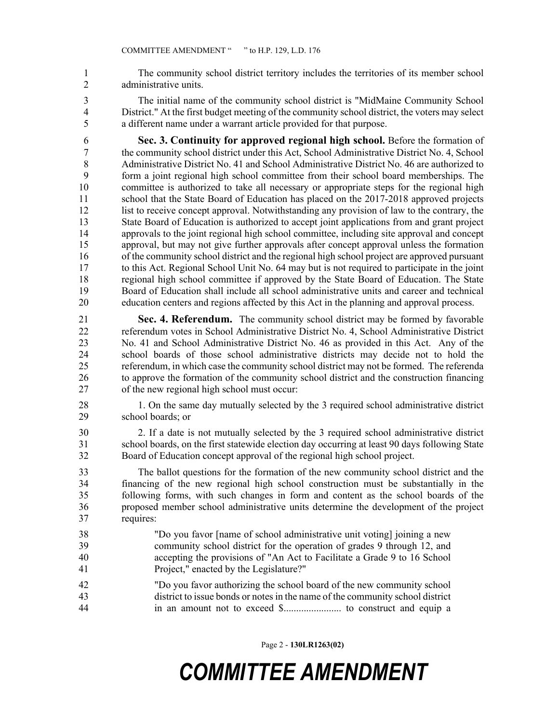1 The community school district territory includes the territories of its member school 2 administrative units.

3 The initial name of the community school district is "MidMaine Community School 4 District." At the first budget meeting of the community school district, the voters may select 5 a different name under a warrant article provided for that purpose.

6 **Sec. 3. Continuity for approved regional high school.** Before the formation of 7 the community school district under this Act, School Administrative District No. 4, School 8 Administrative District No. 41 and School Administrative District No. 46 are authorized to 9 form a joint regional high school committee from their school board memberships. The 10 committee is authorized to take all necessary or appropriate steps for the regional high 11 school that the State Board of Education has placed on the 2017-2018 approved projects 12 list to receive concept approval. Notwithstanding any provision of law to the contrary, the 13 State Board of Education is authorized to accept joint applications from and grant project 14 approvals to the joint regional high school committee, including site approval and concept 15 approval, but may not give further approvals after concept approval unless the formation 16 of the community school district and the regional high school project are approved pursuant 17 to this Act. Regional School Unit No. 64 may but is not required to participate in the joint 18 regional high school committee if approved by the State Board of Education. The State 19 Board of Education shall include all school administrative units and career and technical 20 education centers and regions affected by this Act in the planning and approval process.

21 **Sec. 4. Referendum.** The community school district may be formed by favorable 22 referendum votes in School Administrative District No. 4, School Administrative District 23 No. 41 and School Administrative District No. 46 as provided in this Act. Any of the 24 school boards of those school administrative districts may decide not to hold the 25 referendum, in which case the community school district may not be formed. The referenda 26 to approve the formation of the community school district and the construction financing 27 of the new regional high school must occur:

- 28 1. On the same day mutually selected by the 3 required school administrative district 29 school boards; or
- 30 2. If a date is not mutually selected by the 3 required school administrative district 31 school boards, on the first statewide election day occurring at least 90 days following State 32 Board of Education concept approval of the regional high school project.

33 The ballot questions for the formation of the new community school district and the 34 financing of the new regional high school construction must be substantially in the 35 following forms, with such changes in form and content as the school boards of the 36 proposed member school administrative units determine the development of the project 37 requires:

- 38 "Do you favor [name of school administrative unit voting] joining a new 39 community school district for the operation of grades 9 through 12, and 40 accepting the provisions of "An Act to Facilitate a Grade 9 to 16 School 41 Project," enacted by the Legislature?"
- 42 "Do you favor authorizing the school board of the new community school 43 district to issue bonds or notes in the name of the community school district 44 in an amount not to exceed \$....................... to construct and equip a

Page 2 - **130LR1263(02)**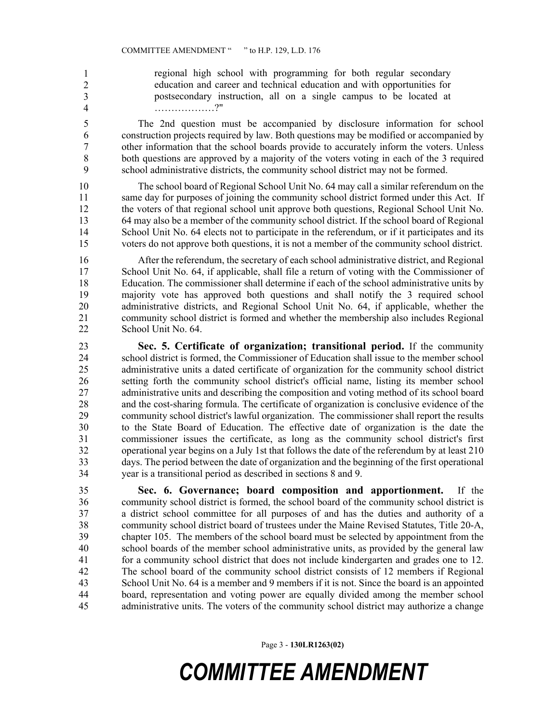regional high school with programming for both regular secondary education and career and technical education and with opportunities for 47 postsecondary instruction, all on a single campus to be located at 48 ………………?" 1 2 3 4

5 The 2nd question must be accompanied by disclosure information for school 6 construction projects required by law. Both questions may be modified or accompanied by 7 other information that the school boards provide to accurately inform the voters. Unless 8 both questions are approved by a majority of the voters voting in each of the 3 required 9 school administrative districts, the community school district may not be formed.

10 The school board of Regional School Unit No. 64 may call a similar referendum on the 11 same day for purposes of joining the community school district formed under this Act. If 12 the voters of that regional school unit approve both questions, Regional School Unit No. 13 64 may also be a member of the community school district. If the school board of Regional 14 School Unit No. 64 elects not to participate in the referendum, or if it participates and its 15 voters do not approve both questions, it is not a member of the community school district.

16 After the referendum, the secretary of each school administrative district, and Regional 17 School Unit No. 64, if applicable, shall file a return of voting with the Commissioner of 18 Education. The commissioner shall determine if each of the school administrative units by 19 majority vote has approved both questions and shall notify the 3 required school 20 administrative districts, and Regional School Unit No. 64, if applicable, whether the 21 community school district is formed and whether the membership also includes Regional 22 School Unit No. 64.

23 **Sec. 5. Certificate of organization; transitional period.** If the community 24 school district is formed, the Commissioner of Education shall issue to the member school 25 administrative units a dated certificate of organization for the community school district 26 setting forth the community school district's official name, listing its member school 27 administrative units and describing the composition and voting method of its school board 28 and the cost-sharing formula. The certificate of organization is conclusive evidence of the 29 community school district's lawful organization. The commissioner shall report the results 30 to the State Board of Education. The effective date of organization is the date the 31 commissioner issues the certificate, as long as the community school district's first 32 operational year begins on a July 1st that follows the date of the referendum by at least 210 33 days. The period between the date of organization and the beginning of the first operational 34 year is a transitional period as described in sections 8 and 9.

35 **Sec. 6. Governance; board composition and apportionment.** If the 36 community school district is formed, the school board of the community school district is 37 a district school committee for all purposes of and has the duties and authority of a 38 community school district board of trustees under the Maine Revised Statutes, Title 20-A, 39 chapter 105. The members of the school board must be selected by appointment from the 40 school boards of the member school administrative units, as provided by the general law 41 for a community school district that does not include kindergarten and grades one to 12. 42 The school board of the community school district consists of 12 members if Regional 43 School Unit No. 64 is a member and 9 members if it is not. Since the board is an appointed 44 board, representation and voting power are equally divided among the member school 45 administrative units. The voters of the community school district may authorize a change

Page 3 - **130LR1263(02)**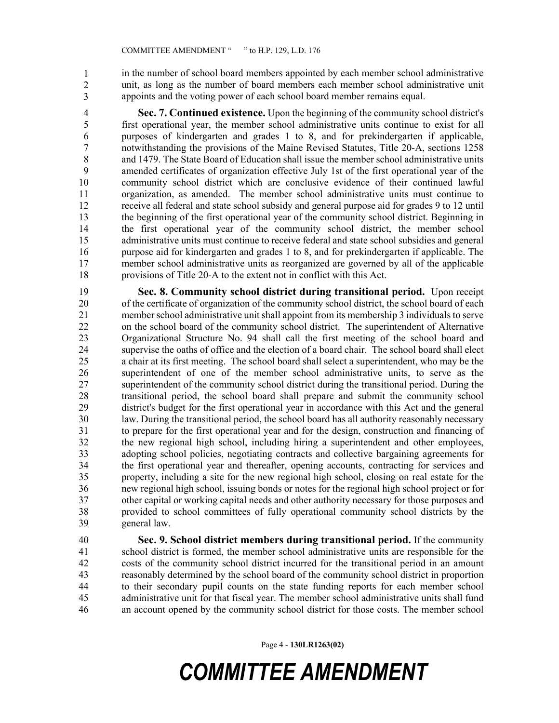in the number of school board members appointed by each member school administrative unit, as long as the number of board members each member school administrative unit appoints and the voting power of each school board member remains equal. 1 2 3

4 **Sec. 7. Continued existence.** Upon the beginning of the community school district's 5 first operational year, the member school administrative units continue to exist for all 6 purposes of kindergarten and grades 1 to 8, and for prekindergarten if applicable, 7 notwithstanding the provisions of the Maine Revised Statutes, Title 20-A, sections 1258 8 and 1479. The State Board of Education shall issue the member school administrative units 9 amended certificates of organization effective July 1st of the first operational year of the 10 community school district which are conclusive evidence of their continued lawful 11 organization, as amended. The member school administrative units must continue to 12 receive all federal and state school subsidy and general purpose aid for grades 9 to 12 until 13 the beginning of the first operational year of the community school district. Beginning in 14 the first operational year of the community school district, the member school 15 administrative units must continue to receive federal and state school subsidies and general 16 purpose aid for kindergarten and grades 1 to 8, and for prekindergarten if applicable. The 17 member school administrative units as reorganized are governed by all of the applicable 18 provisions of Title 20-A to the extent not in conflict with this Act.

19 **Sec. 8. Community school district during transitional period.** Upon receipt 20 of the certificate of organization of the community school district, the school board of each 21 member school administrative unit shall appoint from its membership 3 individuals to serve 22 on the school board of the community school district. The superintendent of Alternative 23 Organizational Structure No. 94 shall call the first meeting of the school board and 24 supervise the oaths of office and the election of a board chair. The school board shall elect 25 a chair at its first meeting. The school board shall select a superintendent, who may be the 26 superintendent of one of the member school administrative units, to serve as the 27 superintendent of the community school district during the transitional period. During the 28 transitional period, the school board shall prepare and submit the community school 29 district's budget for the first operational year in accordance with this Act and the general 30 law. During the transitional period, the school board has all authority reasonably necessary 31 to prepare for the first operational year and for the design, construction and financing of 32 the new regional high school, including hiring a superintendent and other employees, 33 adopting school policies, negotiating contracts and collective bargaining agreements for 34 the first operational year and thereafter, opening accounts, contracting for services and 35 property, including a site for the new regional high school, closing on real estate for the 36 new regional high school, issuing bonds or notes for the regional high school project or for 37 other capital or working capital needs and other authority necessary for those purposes and 38 provided to school committees of fully operational community school districts by the 39 general law.

40 **Sec. 9. School district members during transitional period.** If the community 41 school district is formed, the member school administrative units are responsible for the 42 costs of the community school district incurred for the transitional period in an amount 43 reasonably determined by the school board of the community school district in proportion 44 to their secondary pupil counts on the state funding reports for each member school 45 administrative unit for that fiscal year. The member school administrative units shall fund 46 an account opened by the community school district for those costs. The member school

Page 4 - **130LR1263(02)**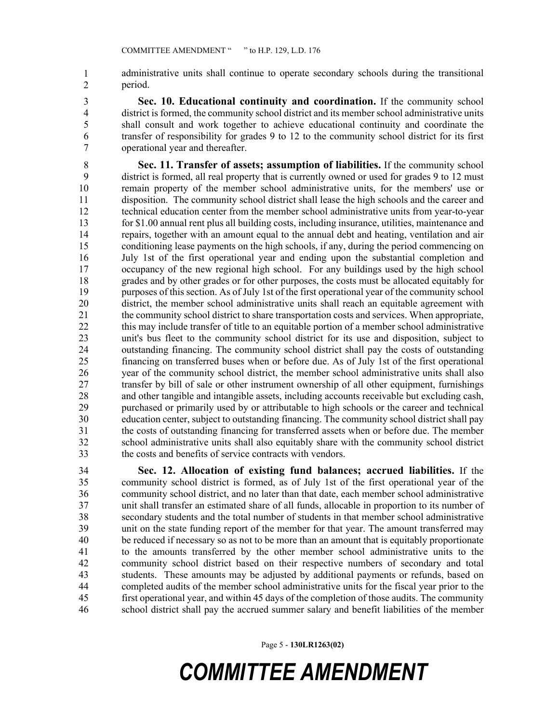administrative units shall continue to operate secondary schools during the transitional period. 1 2

- 3 **Sec. 10. Educational continuity and coordination.** If the community school 4 district is formed, the community school district and its member school administrative units 5 shall consult and work together to achieve educational continuity and coordinate the 6 transfer of responsibility for grades 9 to 12 to the community school district for its first 7 operational year and thereafter.
- 8 **Sec. 11. Transfer of assets; assumption of liabilities.** If the community school 9 district is formed, all real property that is currently owned or used for grades 9 to 12 must 10 remain property of the member school administrative units, for the members' use or 11 disposition. The community school district shall lease the high schools and the career and 12 technical education center from the member school administrative units from year-to-year 13 for \$1.00 annual rent plus all building costs, including insurance, utilities, maintenance and 14 repairs, together with an amount equal to the annual debt and heating, ventilation and air 15 conditioning lease payments on the high schools, if any, during the period commencing on 16 July 1st of the first operational year and ending upon the substantial completion and 17 occupancy of the new regional high school. For any buildings used by the high school 18 grades and by other grades or for other purposes, the costs must be allocated equitably for 19 purposes of this section. As of July 1st of the first operational year of the community school 20 district, the member school administrative units shall reach an equitable agreement with 21 the community school district to share transportation costs and services. When appropriate, 22 this may include transfer of title to an equitable portion of a member school administrative 23 unit's bus fleet to the community school district for its use and disposition, subject to 24 outstanding financing. The community school district shall pay the costs of outstanding 25 financing on transferred buses when or before due. As of July 1st of the first operational 26 year of the community school district, the member school administrative units shall also 27 transfer by bill of sale or other instrument ownership of all other equipment, furnishings 28 and other tangible and intangible assets, including accounts receivable but excluding cash, 29 purchased or primarily used by or attributable to high schools or the career and technical 30 education center, subject to outstanding financing. The community school district shall pay 31 the costs of outstanding financing for transferred assets when or before due. The member 32 school administrative units shall also equitably share with the community school district 33 the costs and benefits of service contracts with vendors.
- 34 **Sec. 12. Allocation of existing fund balances; accrued liabilities.** If the 35 community school district is formed, as of July 1st of the first operational year of the 36 community school district, and no later than that date, each member school administrative 37 unit shall transfer an estimated share of all funds, allocable in proportion to its number of 38 secondary students and the total number of students in that member school administrative 39 unit on the state funding report of the member for that year. The amount transferred may 40 be reduced if necessary so as not to be more than an amount that is equitably proportionate 41 to the amounts transferred by the other member school administrative units to the 42 community school district based on their respective numbers of secondary and total 43 students. These amounts may be adjusted by additional payments or refunds, based on 44 completed audits of the member school administrative units for the fiscal year prior to the 45 first operational year, and within 45 days of the completion of those audits. The community 46 school district shall pay the accrued summer salary and benefit liabilities of the member

Page 5 - **130LR1263(02)**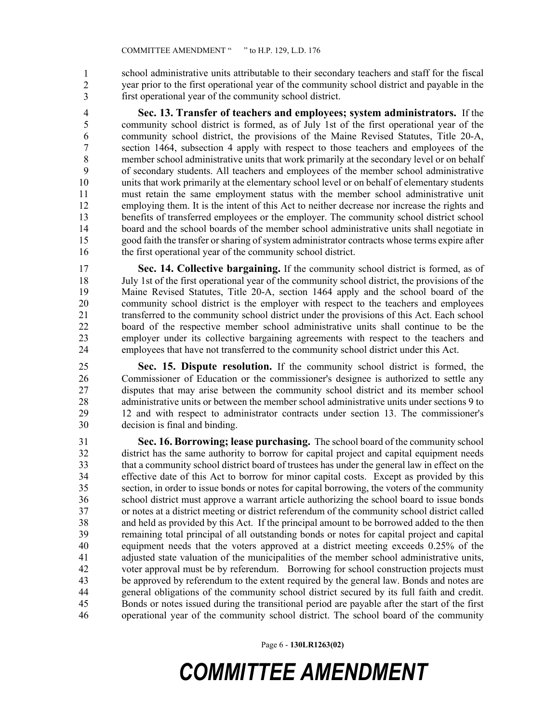school administrative units attributable to their secondary teachers and staff for the fiscal 48 year prior to the first operational year of the community school district and payable in the first operational year of the community school district. 1 2 3

4 **Sec. 13. Transfer of teachers and employees; system administrators.** If the 5 community school district is formed, as of July 1st of the first operational year of the 6 community school district, the provisions of the Maine Revised Statutes, Title 20-A, 7 section 1464, subsection 4 apply with respect to those teachers and employees of the 8 member school administrative units that work primarily at the secondary level or on behalf 9 of secondary students. All teachers and employees of the member school administrative 10 units that work primarily at the elementary school level or on behalf of elementary students 11 must retain the same employment status with the member school administrative unit 12 employing them. It is the intent of this Act to neither decrease nor increase the rights and 13 benefits of transferred employees or the employer. The community school district school 14 board and the school boards of the member school administrative units shall negotiate in 15 good faith the transfer or sharing of system administrator contracts whose terms expire after 16 the first operational year of the community school district.

17 **Sec. 14. Collective bargaining.** If the community school district is formed, as of 18 July 1st of the first operational year of the community school district, the provisions of the 19 Maine Revised Statutes, Title 20-A, section 1464 apply and the school board of the 20 community school district is the employer with respect to the teachers and employees 21 transferred to the community school district under the provisions of this Act. Each school 22 board of the respective member school administrative units shall continue to be the 23 employer under its collective bargaining agreements with respect to the teachers and 24 employees that have not transferred to the community school district under this Act.

25 **Sec. 15. Dispute resolution.** If the community school district is formed, the 26 Commissioner of Education or the commissioner's designee is authorized to settle any 27 disputes that may arise between the community school district and its member school 28 administrative units or between the member school administrative units under sections 9 to 29 12 and with respect to administrator contracts under section 13. The commissioner's 30 decision is final and binding.

31 **Sec. 16. Borrowing; lease purchasing.** The school board of the community school 32 district has the same authority to borrow for capital project and capital equipment needs 33 that a community school district board of trustees has under the general law in effect on the 34 effective date of this Act to borrow for minor capital costs. Except as provided by this 35 section, in order to issue bonds or notes for capital borrowing, the voters of the community 36 school district must approve a warrant article authorizing the school board to issue bonds 37 or notes at a district meeting or district referendum of the community school district called 38 and held as provided by this Act. If the principal amount to be borrowed added to the then 39 remaining total principal of all outstanding bonds or notes for capital project and capital 40 equipment needs that the voters approved at a district meeting exceeds 0.25% of the 41 adjusted state valuation of the municipalities of the member school administrative units, 42 voter approval must be by referendum. Borrowing for school construction projects must 43 be approved by referendum to the extent required by the general law. Bonds and notes are 44 general obligations of the community school district secured by its full faith and credit. 45 Bonds or notes issued during the transitional period are payable after the start of the first 46 operational year of the community school district. The school board of the community

Page 6 - **130LR1263(02)**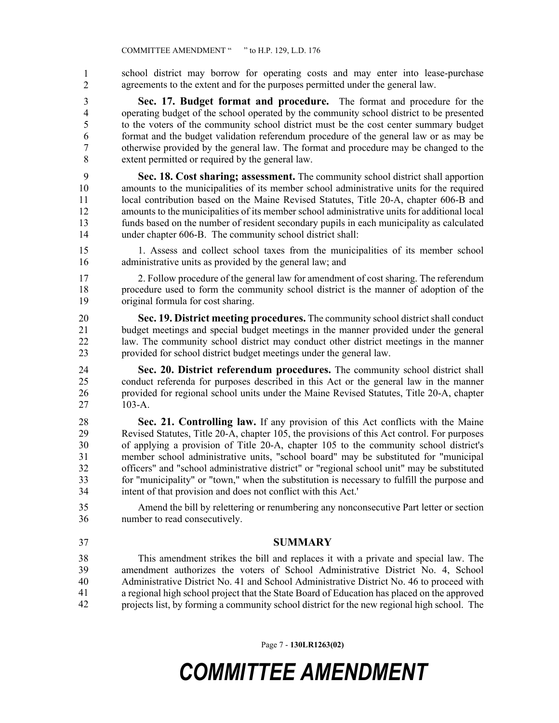school district may borrow for operating costs and may enter into lease-purchase agreements to the extent and for the purposes permitted under the general law. 1 2

3 **Sec. 17. Budget format and procedure.** The format and procedure for the 4 operating budget of the school operated by the community school district to be presented 5 to the voters of the community school district must be the cost center summary budget 6 format and the budget validation referendum procedure of the general law or as may be 7 otherwise provided by the general law. The format and procedure may be changed to the 8 extent permitted or required by the general law.

9 **Sec. 18. Cost sharing; assessment.** The community school district shall apportion 10 amounts to the municipalities of its member school administrative units for the required 11 local contribution based on the Maine Revised Statutes, Title 20-A, chapter 606-B and 12 amounts to the municipalities of its member school administrative units for additional local 13 funds based on the number of resident secondary pupils in each municipality as calculated 14 under chapter 606-B. The community school district shall:

15 1. Assess and collect school taxes from the municipalities of its member school 16 administrative units as provided by the general law; and

17 2. Follow procedure of the general law for amendment of cost sharing. The referendum 18 procedure used to form the community school district is the manner of adoption of the 19 original formula for cost sharing.

20 **Sec. 19. District meeting procedures.** The community school district shall conduct 21 budget meetings and special budget meetings in the manner provided under the general 22 law. The community school district may conduct other district meetings in the manner 23 provided for school district budget meetings under the general law.

24 **Sec. 20. District referendum procedures.** The community school district shall 25 conduct referenda for purposes described in this Act or the general law in the manner 26 provided for regional school units under the Maine Revised Statutes, Title 20-A, chapter 27 103-A.

28 **Sec. 21. Controlling law.** If any provision of this Act conflicts with the Maine 29 Revised Statutes, Title 20-A, chapter 105, the provisions of this Act control. For purposes 30 of applying a provision of Title 20-A, chapter 105 to the community school district's 31 member school administrative units, "school board" may be substituted for "municipal 32 officers" and "school administrative district" or "regional school unit" may be substituted 33 for "municipality" or "town," when the substitution is necessary to fulfill the purpose and 34 intent of that provision and does not conflict with this Act.'

35 Amend the bill by relettering or renumbering any nonconsecutive Part letter or section 36 number to read consecutively.

37 **SUMMARY**

This amendment strikes the bill and replaces it with a private and special law. The amendment authorizes the voters of School Administrative District No. 4, School Administrative District No. 41 and School Administrative District No. 46 to proceed with a regional high school project that the State Board of Education has placed on the approved projects list, by forming a community school district for the new regional high school. The 38 39 40 41 42

Page 7 - **130LR1263(02)**